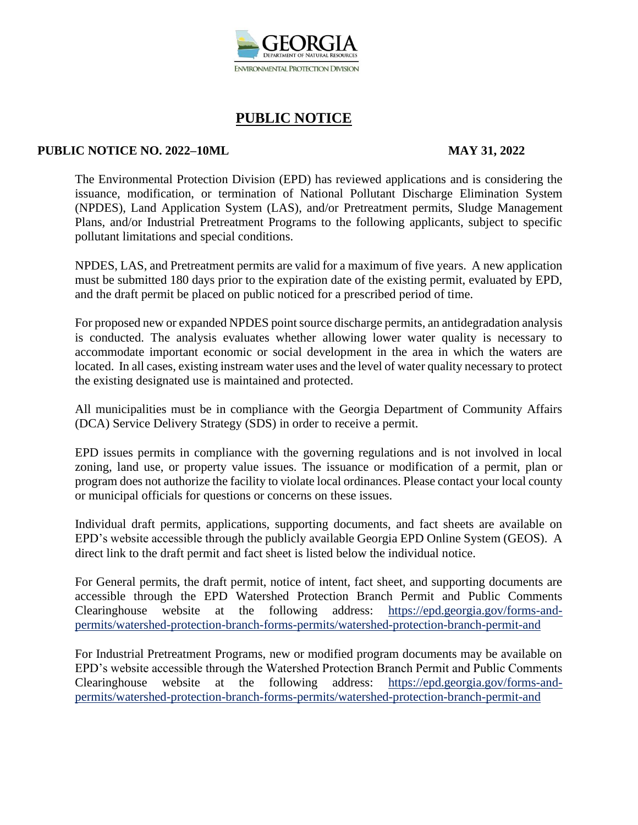

#### **PUBLIC NOTICE NO. 2022–10ML MAY 31, 2022**

The Environmental Protection Division (EPD) has reviewed applications and is considering the issuance, modification, or termination of National Pollutant Discharge Elimination System (NPDES), Land Application System (LAS), and/or Pretreatment permits, Sludge Management Plans, and/or Industrial Pretreatment Programs to the following applicants, subject to specific pollutant limitations and special conditions.

NPDES, LAS, and Pretreatment permits are valid for a maximum of five years. A new application must be submitted 180 days prior to the expiration date of the existing permit, evaluated by EPD, and the draft permit be placed on public noticed for a prescribed period of time.

For proposed new or expanded NPDES point source discharge permits, an antidegradation analysis is conducted. The analysis evaluates whether allowing lower water quality is necessary to accommodate important economic or social development in the area in which the waters are located. In all cases, existing instream water uses and the level of water quality necessary to protect the existing designated use is maintained and protected.

All municipalities must be in compliance with the Georgia Department of Community Affairs (DCA) Service Delivery Strategy (SDS) in order to receive a permit.

EPD issues permits in compliance with the governing regulations and is not involved in local zoning, land use, or property value issues. The issuance or modification of a permit, plan or program does not authorize the facility to violate local ordinances. Please contact your local county or municipal officials for questions or concerns on these issues.

Individual draft permits, applications, supporting documents, and fact sheets are available on EPD's website accessible through the publicly available Georgia EPD Online System (GEOS). A direct link to the draft permit and fact sheet is listed below the individual notice.

For General permits, the draft permit, notice of intent, fact sheet, and supporting documents are accessible through the EPD Watershed Protection Branch Permit and Public Comments Clearinghouse website at the following address: https://epd.georgia.gov/forms-andpermits/watershed-protection-branch-forms-permits/watershed-protection-branch-permit-and

For Industrial Pretreatment Programs, new or modified program documents may be available on EPD's website accessible through the Watershed Protection Branch Permit and Public Comments Clearinghouse website at the following address: https://epd.georgia.gov/forms-andpermits/watershed-protection-branch-forms-permits/watershed-protection-branch-permit-and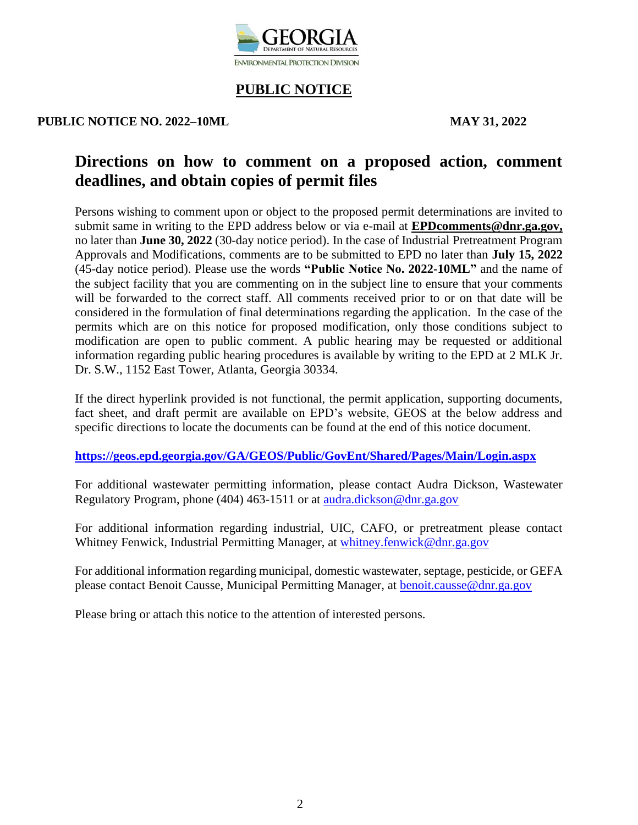

#### **PUBLIC NOTICE NO. 2022–10ML MAY 31, 2022**

# **Directions on how to comment on a proposed action, comment deadlines, and obtain copies of permit files**

Persons wishing to comment upon or object to the proposed permit determinations are invited to submit same in writing to the EPD address below or via e-mail at **EPDcomments@dnr.ga.gov,** no later than **June 30, 2022** (30-day notice period). In the case of Industrial Pretreatment Program Approvals and Modifications, comments are to be submitted to EPD no later than **July 15, 2022** (45-day notice period). Please use the words **"Public Notice No. 2022-10ML"** and the name of the subject facility that you are commenting on in the subject line to ensure that your comments will be forwarded to the correct staff. All comments received prior to or on that date will be considered in the formulation of final determinations regarding the application. In the case of the permits which are on this notice for proposed modification, only those conditions subject to modification are open to public comment. A public hearing may be requested or additional information regarding public hearing procedures is available by writing to the EPD at 2 MLK Jr. Dr. S.W., 1152 East Tower, Atlanta, Georgia 30334.

If the direct hyperlink provided is not functional, the permit application, supporting documents, fact sheet, and draft permit are available on EPD's website, GEOS at the below address and specific directions to locate the documents can be found at the end of this notice document.

**<https://geos.epd.georgia.gov/GA/GEOS/Public/GovEnt/Shared/Pages/Main/Login.aspx>**

For additional wastewater permitting information, please contact Audra Dickson, Wastewater Regulatory Program, phone (404) 463-1511 or at [audra.dickson@dnr.ga.gov](mailto:audra.dickson@dnr.ga.gov)

For additional information regarding industrial, UIC, CAFO, or pretreatment please contact Whitney Fenwick, Industrial Permitting Manager, at [whitney.fenwick@dnr.ga.gov](mailto:whitney.fenwick@dnr.ga.gov)

For additional information regarding municipal, domestic wastewater, septage, pesticide, or GEFA please contact Benoit Causse, Municipal Permitting Manager, at [benoit.causse@dnr.ga.gov](mailto:benoit.causse@dnr.ga.gov)

Please bring or attach this notice to the attention of interested persons.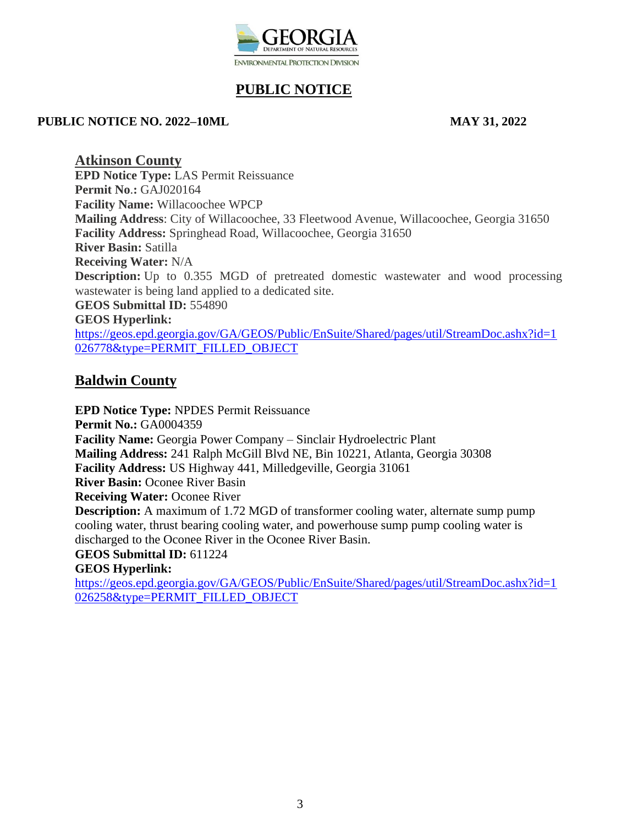

#### **PUBLIC NOTICE NO. 2022–10ML MAY 31, 2022**

**Atkinson County EPD Notice Type:** LAS Permit Reissuance **Permit No**.**:** GAJ020164 **Facility Name:** Willacoochee WPCP **Mailing Address**: City of Willacoochee, 33 Fleetwood Avenue, Willacoochee, Georgia 31650 **Facility Address:** Springhead Road, Willacoochee, Georgia 31650 **River Basin:** Satilla **Receiving Water:** N/A **Description:** Up to 0.355 MGD of pretreated domestic wastewater and wood processing wastewater is being land applied to a dedicated site. **GEOS Submittal ID:** 554890 **GEOS Hyperlink:**  [https://geos.epd.georgia.gov/GA/GEOS/Public/EnSuite/Shared/pages/util/StreamDoc.ashx?id=1](https://gcc02.safelinks.protection.outlook.com/?url=https%3A%2F%2Fgeos.epd.georgia.gov%2FGA%2FGEOS%2FPublic%2FEnSuite%2FShared%2Fpages%2Futil%2FStreamDoc.ashx%3Fid%3D1026778%26type%3DPERMIT_FILLED_OBJECT&data=05%7C01%7Candronicki.dorsey%40dnr.ga.gov%7C532791858b554841d68408da3fee5718%7C512da10d071b4b948abc9ec4044d1516%7C0%7C0%7C637892590274216454%7CUnknown%7CTWFpbGZsb3d8eyJWIjoiMC4wLjAwMDAiLCJQIjoiV2luMzIiLCJBTiI6Ik1haWwiLCJXVCI6Mn0%3D%7C3000%7C%7C%7C&sdata=Qg%2BMuYCZYWi50qt2dUjuuFq9o9WqZzG0u0TVIQ43qHg%3D&reserved=0) [026778&type=PERMIT\\_FILLED\\_OBJECT](https://gcc02.safelinks.protection.outlook.com/?url=https%3A%2F%2Fgeos.epd.georgia.gov%2FGA%2FGEOS%2FPublic%2FEnSuite%2FShared%2Fpages%2Futil%2FStreamDoc.ashx%3Fid%3D1026778%26type%3DPERMIT_FILLED_OBJECT&data=05%7C01%7Candronicki.dorsey%40dnr.ga.gov%7C532791858b554841d68408da3fee5718%7C512da10d071b4b948abc9ec4044d1516%7C0%7C0%7C637892590274216454%7CUnknown%7CTWFpbGZsb3d8eyJWIjoiMC4wLjAwMDAiLCJQIjoiV2luMzIiLCJBTiI6Ik1haWwiLCJXVCI6Mn0%3D%7C3000%7C%7C%7C&sdata=Qg%2BMuYCZYWi50qt2dUjuuFq9o9WqZzG0u0TVIQ43qHg%3D&reserved=0)

## **Baldwin County**

**EPD Notice Type:** NPDES Permit Reissuance **Permit No.: GA0004359 Facility Name:** Georgia Power Company – Sinclair Hydroelectric Plant **Mailing Address:** 241 Ralph McGill Blvd NE, Bin 10221, Atlanta, Georgia 30308 **Facility Address:** US Highway 441, Milledgeville, Georgia 31061 **River Basin:** Oconee River Basin **Receiving Water: Oconee River Description:** A maximum of 1.72 MGD of transformer cooling water, alternate sump pump cooling water, thrust bearing cooling water, and powerhouse sump pump cooling water is discharged to the Oconee River in the Oconee River Basin. **GEOS Submittal ID:** 611224 **GEOS Hyperlink:** 

[https://geos.epd.georgia.gov/GA/GEOS/Public/EnSuite/Shared/pages/util/StreamDoc.ashx?id=1](https://gcc02.safelinks.protection.outlook.com/?url=https%3A%2F%2Fgeos.epd.georgia.gov%2FGA%2FGEOS%2FPublic%2FEnSuite%2FShared%2Fpages%2Futil%2FStreamDoc.ashx%3Fid%3D1026258%26type%3DPERMIT_FILLED_OBJECT&data=05%7C01%7Candronicki.dorsey%40dnr.ga.gov%7Ca0030742942443f4869408da3da48d1d%7C512da10d071b4b948abc9ec4044d1516%7C0%7C0%7C637890074560639919%7CUnknown%7CTWFpbGZsb3d8eyJWIjoiMC4wLjAwMDAiLCJQIjoiV2luMzIiLCJBTiI6Ik1haWwiLCJXVCI6Mn0%3D%7C3000%7C%7C%7C&sdata=nJbo%2FgLrcmRWhSlp18D1D5sUQdSrf1YOx0khj9LTySw%3D&reserved=0) [026258&type=PERMIT\\_FILLED\\_OBJECT](https://gcc02.safelinks.protection.outlook.com/?url=https%3A%2F%2Fgeos.epd.georgia.gov%2FGA%2FGEOS%2FPublic%2FEnSuite%2FShared%2Fpages%2Futil%2FStreamDoc.ashx%3Fid%3D1026258%26type%3DPERMIT_FILLED_OBJECT&data=05%7C01%7Candronicki.dorsey%40dnr.ga.gov%7Ca0030742942443f4869408da3da48d1d%7C512da10d071b4b948abc9ec4044d1516%7C0%7C0%7C637890074560639919%7CUnknown%7CTWFpbGZsb3d8eyJWIjoiMC4wLjAwMDAiLCJQIjoiV2luMzIiLCJBTiI6Ik1haWwiLCJXVCI6Mn0%3D%7C3000%7C%7C%7C&sdata=nJbo%2FgLrcmRWhSlp18D1D5sUQdSrf1YOx0khj9LTySw%3D&reserved=0)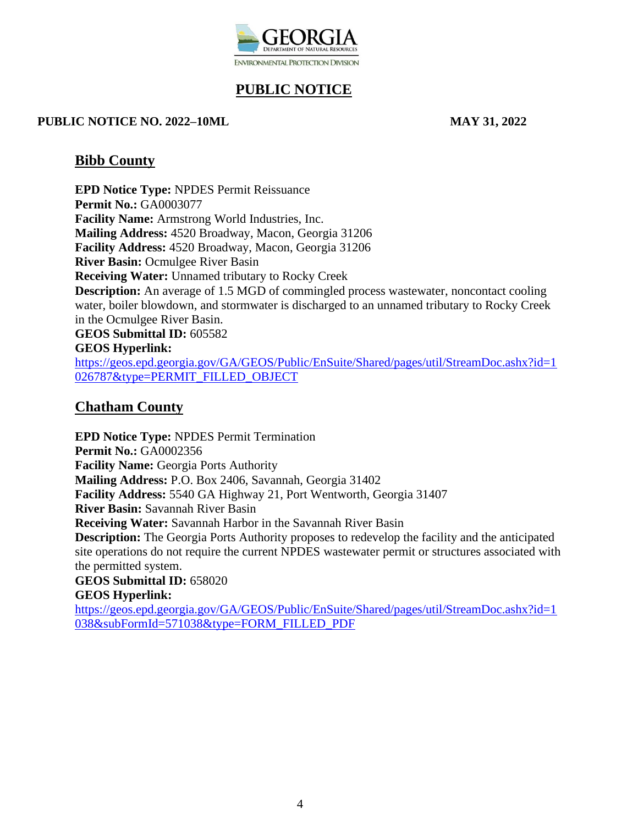

#### **PUBLIC NOTICE NO. 2022–10ML MAY 31, 2022**

### **Bibb County**

**EPD Notice Type:** NPDES Permit Reissuance **Permit No.:** GA0003077 **Facility Name:** Armstrong World Industries, Inc. **Mailing Address:** 4520 Broadway, Macon, Georgia 31206 **Facility Address:** 4520 Broadway, Macon, Georgia 31206 **River Basin:** Ocmulgee River Basin **Receiving Water:** Unnamed tributary to Rocky Creek **Description:** An average of 1.5 MGD of commingled process wastewater, noncontact cooling water, boiler blowdown, and stormwater is discharged to an unnamed tributary to Rocky Creek in the Ocmulgee River Basin. **GEOS Submittal ID:** 605582 **GEOS Hyperlink:**  [https://geos.epd.georgia.gov/GA/GEOS/Public/EnSuite/Shared/pages/util/StreamDoc.ashx?id=1](https://geos.epd.georgia.gov/GA/GEOS/Public/EnSuite/Shared/pages/util/StreamDoc.ashx?id=1026787&type=PERMIT_FILLED_OBJECT)

[026787&type=PERMIT\\_FILLED\\_OBJECT](https://geos.epd.georgia.gov/GA/GEOS/Public/EnSuite/Shared/pages/util/StreamDoc.ashx?id=1026787&type=PERMIT_FILLED_OBJECT)

## **Chatham County**

**EPD Notice Type:** NPDES Permit Termination **Permit No.:** GA0002356 **Facility Name:** Georgia Ports Authority **Mailing Address:** P.O. Box 2406, Savannah, Georgia 31402 **Facility Address:** 5540 GA Highway 21, Port Wentworth, Georgia 31407 **River Basin:** Savannah River Basin **Receiving Water:** Savannah Harbor in the Savannah River Basin **Description:** The Georgia Ports Authority proposes to redevelop the facility and the anticipated site operations do not require the current NPDES wastewater permit or structures associated with the permitted system. **GEOS Submittal ID:** 658020 **GEOS Hyperlink:** 

[https://geos.epd.georgia.gov/GA/GEOS/Public/EnSuite/Shared/pages/util/StreamDoc.ashx?id=1](https://gcc02.safelinks.protection.outlook.com/?url=https%3A%2F%2Fgeos.epd.georgia.gov%2FGA%2FGEOS%2FPublic%2FEnSuite%2FShared%2Fpages%2Futil%2FStreamDoc.ashx%3Fid%3D1038%26subFormId%3D571038%26type%3DFORM_FILLED_PDF&data=05%7C01%7Candronicki.dorsey%40dnr.ga.gov%7C9e241a78c4de463a31af08da3fd8eefe%7C512da10d071b4b948abc9ec4044d1516%7C0%7C0%7C637892498213715310%7CUnknown%7CTWFpbGZsb3d8eyJWIjoiMC4wLjAwMDAiLCJQIjoiV2luMzIiLCJBTiI6Ik1haWwiLCJXVCI6Mn0%3D%7C3000%7C%7C%7C&sdata=fXNJy8c%2BiZTVzs7VgDp05fXOwCFwub6saT9IOGOOvgA%3D&reserved=0) [038&subFormId=571038&type=FORM\\_FILLED\\_PDF](https://gcc02.safelinks.protection.outlook.com/?url=https%3A%2F%2Fgeos.epd.georgia.gov%2FGA%2FGEOS%2FPublic%2FEnSuite%2FShared%2Fpages%2Futil%2FStreamDoc.ashx%3Fid%3D1038%26subFormId%3D571038%26type%3DFORM_FILLED_PDF&data=05%7C01%7Candronicki.dorsey%40dnr.ga.gov%7C9e241a78c4de463a31af08da3fd8eefe%7C512da10d071b4b948abc9ec4044d1516%7C0%7C0%7C637892498213715310%7CUnknown%7CTWFpbGZsb3d8eyJWIjoiMC4wLjAwMDAiLCJQIjoiV2luMzIiLCJBTiI6Ik1haWwiLCJXVCI6Mn0%3D%7C3000%7C%7C%7C&sdata=fXNJy8c%2BiZTVzs7VgDp05fXOwCFwub6saT9IOGOOvgA%3D&reserved=0)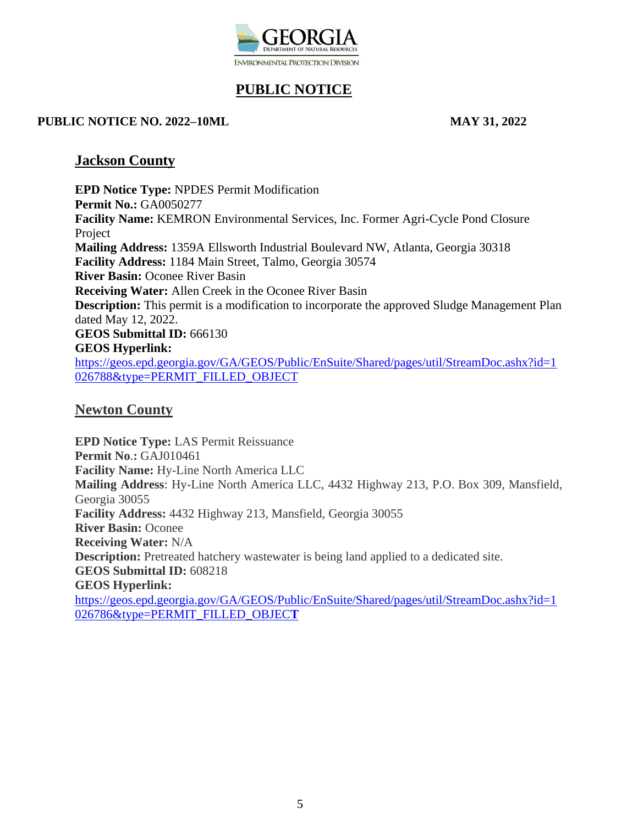

#### **PUBLIC NOTICE NO. 2022–10ML MAY 31, 2022**

### **Jackson County**

**EPD Notice Type:** NPDES Permit Modification **Permit No.:** GA0050277 **Facility Name:** KEMRON Environmental Services, Inc. Former Agri-Cycle Pond Closure Project **Mailing Address:** 1359A Ellsworth Industrial Boulevard NW, Atlanta, Georgia 30318 **Facility Address:** 1184 Main Street, Talmo, Georgia 30574 **River Basin:** Oconee River Basin **Receiving Water:** Allen Creek in the Oconee River Basin **Description:** This permit is a modification to incorporate the approved Sludge Management Plan dated May 12, 2022. **GEOS Submittal ID:** 666130 **GEOS Hyperlink:**  [https://geos.epd.georgia.gov/GA/GEOS/Public/EnSuite/Shared/pages/util/StreamDoc.ashx?id=1](https://geos.epd.georgia.gov/GA/GEOS/Public/EnSuite/Shared/pages/util/StreamDoc.ashx?id=1026788&type=PERMIT_FILLED_OBJECT) [026788&type=PERMIT\\_FILLED\\_OBJECT](https://geos.epd.georgia.gov/GA/GEOS/Public/EnSuite/Shared/pages/util/StreamDoc.ashx?id=1026788&type=PERMIT_FILLED_OBJECT)

## **Newton County**

**EPD Notice Type:** LAS Permit Reissuance **Permit No**.**:** GAJ010461 **Facility Name:** Hy-Line North America LLC **Mailing Address**: Hy-Line North America LLC, 4432 Highway 213, P.O. Box 309, Mansfield, Georgia 30055 **Facility Address:** 4432 Highway 213, Mansfield, Georgia 30055 **River Basin:** Oconee **Receiving Water:** N/A **Description:** Pretreated hatchery wastewater is being land applied to a dedicated site. **GEOS Submittal ID:** 608218 **GEOS Hyperlink:**  [https://geos.epd.georgia.gov/GA/GEOS/Public/EnSuite/Shared/pages/util/StreamDoc.ashx?id=1](https://geos.epd.georgia.gov/GA/GEOS/Public/EnSuite/Shared/pages/util/StreamDoc.ashx?id=1026786&type=PERMIT_FILLED_OBJECT) [026786&type=PERMIT\\_FILLED\\_OBJEC](https://geos.epd.georgia.gov/GA/GEOS/Public/EnSuite/Shared/pages/util/StreamDoc.ashx?id=1026786&type=PERMIT_FILLED_OBJECT)**T**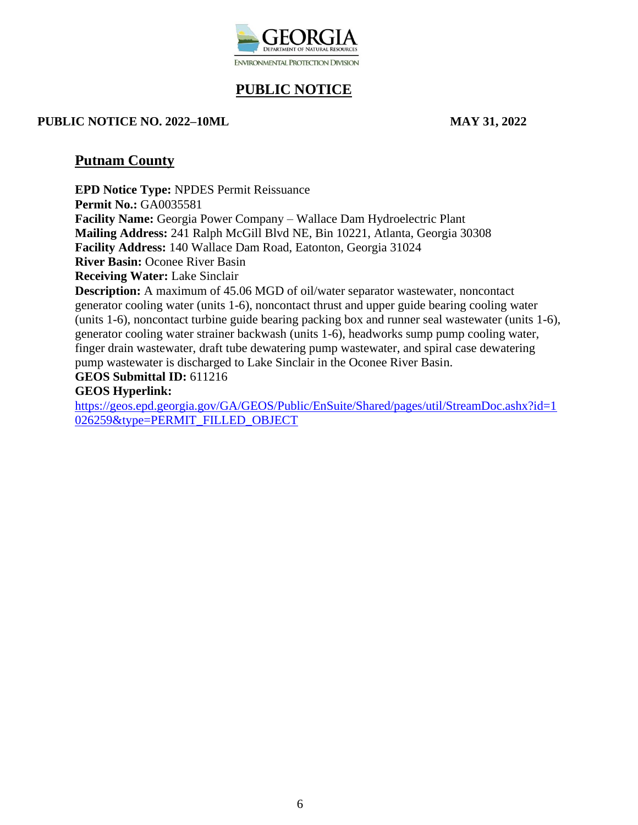

#### **PUBLIC NOTICE NO. 2022–10ML MAY 31, 2022**

## **Putnam County**

**EPD Notice Type:** NPDES Permit Reissuance **Permit No.:** GA0035581 **Facility Name:** Georgia Power Company – Wallace Dam Hydroelectric Plant **Mailing Address:** 241 Ralph McGill Blvd NE, Bin 10221, Atlanta, Georgia 30308 **Facility Address:** 140 Wallace Dam Road, Eatonton, Georgia 31024 **River Basin:** Oconee River Basin **Receiving Water:** Lake Sinclair **Description:** A maximum of 45.06 MGD of oil/water separator wastewater, noncontact generator cooling water (units 1-6), noncontact thrust and upper guide bearing cooling water (units 1-6), noncontact turbine guide bearing packing box and runner seal wastewater (units 1-6), generator cooling water strainer backwash (units 1-6), headworks sump pump cooling water, finger drain wastewater, draft tube dewatering pump wastewater, and spiral case dewatering pump wastewater is discharged to Lake Sinclair in the Oconee River Basin.

# **GEOS Submittal ID:** 611216

## **GEOS Hyperlink:**

[https://geos.epd.georgia.gov/GA/GEOS/Public/EnSuite/Shared/pages/util/StreamDoc.ashx?id=1](https://gcc02.safelinks.protection.outlook.com/?url=https%3A%2F%2Fgeos.epd.georgia.gov%2FGA%2FGEOS%2FPublic%2FEnSuite%2FShared%2Fpages%2Futil%2FStreamDoc.ashx%3Fid%3D1026259%26type%3DPERMIT_FILLED_OBJECT&data=05%7C01%7Candronicki.dorsey%40dnr.ga.gov%7Ca0030742942443f4869408da3da48d1d%7C512da10d071b4b948abc9ec4044d1516%7C0%7C0%7C637890074560639919%7CUnknown%7CTWFpbGZsb3d8eyJWIjoiMC4wLjAwMDAiLCJQIjoiV2luMzIiLCJBTiI6Ik1haWwiLCJXVCI6Mn0%3D%7C3000%7C%7C%7C&sdata=fhnCF%2F9uOf7tIpWpS3k24NJR07h0WKD%2BEyjhqMtdnGE%3D&reserved=0) [026259&type=PERMIT\\_FILLED\\_OBJECT](https://gcc02.safelinks.protection.outlook.com/?url=https%3A%2F%2Fgeos.epd.georgia.gov%2FGA%2FGEOS%2FPublic%2FEnSuite%2FShared%2Fpages%2Futil%2FStreamDoc.ashx%3Fid%3D1026259%26type%3DPERMIT_FILLED_OBJECT&data=05%7C01%7Candronicki.dorsey%40dnr.ga.gov%7Ca0030742942443f4869408da3da48d1d%7C512da10d071b4b948abc9ec4044d1516%7C0%7C0%7C637890074560639919%7CUnknown%7CTWFpbGZsb3d8eyJWIjoiMC4wLjAwMDAiLCJQIjoiV2luMzIiLCJBTiI6Ik1haWwiLCJXVCI6Mn0%3D%7C3000%7C%7C%7C&sdata=fhnCF%2F9uOf7tIpWpS3k24NJR07h0WKD%2BEyjhqMtdnGE%3D&reserved=0)